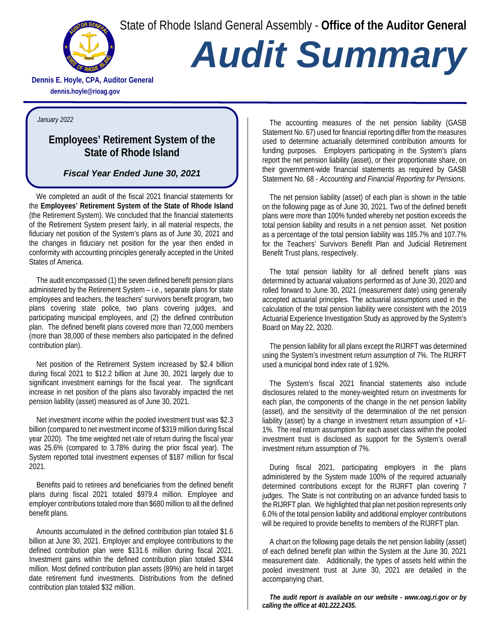State of Rhode Island General Assembly - **Office of the Auditor General**



# *Audit Summary*

**Dennis E. Hoyle, CPA, Auditor General dennis.hoyle@rioag.gov**

#### *January 2022*

## **Employees' Retirement System of the State of Rhode Island**

## *Fiscal Year Ended June 30, 2021*

We completed an audit of the fiscal 2021 financial statements for the **Employees' Retirement System of the State of Rhode Island** (the Retirement System). We concluded that the financial statements of the Retirement System present fairly, in all material respects, the fiduciary net position of the System's plans as of June 30, 2021 and the changes in fiduciary net position for the year then ended in conformity with accounting principles generally accepted in the United States of America.

The audit encompassed (1) the seven defined benefit pension plans administered by the Retirement System – i.e., separate plans for state employees and teachers, the teachers' survivors benefit program, two plans covering state police, two plans covering judges, and participating municipal employees, and (2) the defined contribution plan. The defined benefit plans covered more than 72,000 members (more than 38,000 of these members also participated in the defined contribution plan).

Net position of the Retirement System increased by \$2.4 billion during fiscal 2021 to \$12.2 billion at June 30, 2021 largely due to significant investment earnings for the fiscal year. The significant increase in net position of the plans also favorably impacted the net pension liability (asset) measured as of June 30, 2021.

Net investment income within the pooled investment trust was \$2.3 billion (compared to net investment income of \$319 million during fiscal year 2020). The time weighted net rate of return during the fiscal year was 25.6% (compared to 3.78% during the prior fiscal year). The System reported total investment expenses of \$187 million for fiscal 2021.

Benefits paid to retirees and beneficiaries from the defined benefit plans during fiscal 2021 totaled \$979.4 million. Employee and employer contributions totaled more than \$680 million to all the defined benefit plans.

Amounts accumulated in the defined contribution plan totaled \$1.6 billion at June 30, 2021. Employer and employee contributions to the defined contribution plan were \$131.6 million during fiscal 2021. Investment gains within the defined contribution plan totaled \$344 million. Most defined contribution plan assets (89%) are held in target date retirement fund investments. Distributions from the defined contribution plan totaled \$32 million.

The accounting measures of the net pension liability (GASB Statement No. 67) used for financial reporting differ from the measures used to determine actuarially determined contribution amounts for funding purposes. Employers participating in the System's plans report the net pension liability (asset), or their proportionate share, on their government-wide financial statements as required by GASB Statement No. 68 - *Accounting and Financial Reporting for Pensions.*

The net pension liability (asset) of each plan is shown in the table on the following page as of June 30, 2021. Two of the defined benefit plans were more than 100% funded whereby net position exceeds the total pension liability and results in a net pension asset. Net position as a percentage of the total pension liability was 185.7% and 107.7% for the Teachers' Survivors Benefit Plan and Judicial Retirement Benefit Trust plans, respectively.

The total pension liability for all defined benefit plans was determined by actuarial valuations performed as of June 30, 2020 and rolled forward to June 30, 2021 (measurement date) using generally accepted actuarial principles. The actuarial assumptions used in the calculation of the total pension liability were consistent with the 2019 Actuarial Experience Investigation Study as approved by the System's Board on May 22, 2020.

The pension liability for all plans except the RIJRFT was determined using the System's investment return assumption of 7%. The RIJRFT used a municipal bond index rate of 1.92%.

The System's fiscal 2021 financial statements also include disclosures related to the money-weighted return on investments for each plan, the components of the change in the net pension liability (asset), and the sensitivity of the determination of the net pension liability (asset) by a change in investment return assumption of +1/- 1%. The real return assumption for each asset class within the pooled investment trust is disclosed as support for the System's overall investment return assumption of 7%.

During fiscal 2021, participating employers in the plans administered by the System made 100% of the required actuarially determined contributions except for the RIJRFT plan covering 7 judges. The State is not contributing on an advance funded basis to the RIJRFT plan. We highlighted that plan net position represents only 6.0% of the total pension liability and additional employer contributions will be required to provide benefits to members of the RIJRFT plan.

A chart on the following page details the net pension liability (asset) of each defined benefit plan within the System at the June 30, 2021 measurement date. Additionally, the types of assets held within the pooled investment trust at June 30, 2021 are detailed in the accompanying chart.

*The audit report is available on our website - [www.oag.ri.gov](http://www.oag.ri.gov/) or by calling the office at 401.222.2435.*